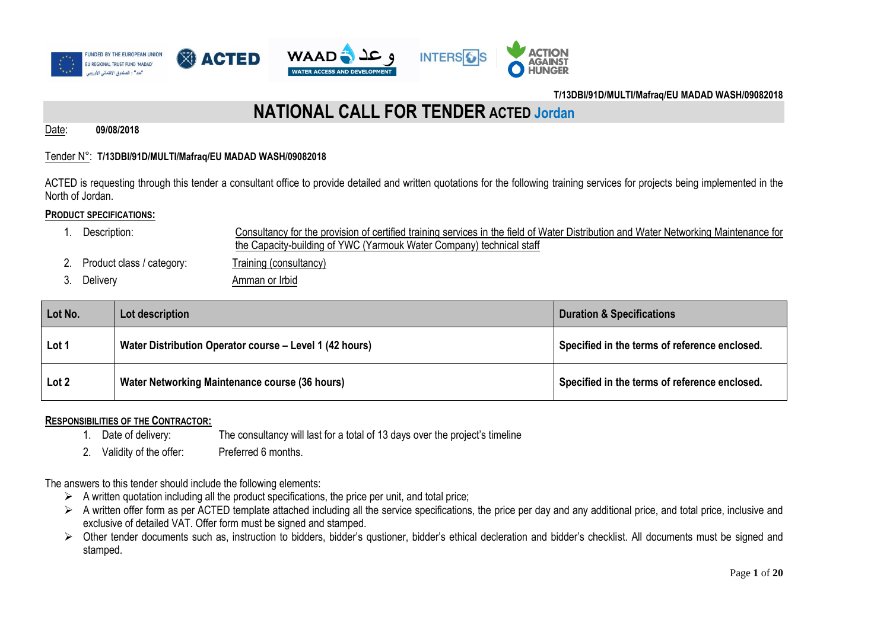

### **NATIONAL CALL FOR TENDER ACTED Jordan**

Date: **09/08/2018**

### Tender N°: **T/13DBI/91D/MULTI/Mafraq/EU MADAD WASH/09082018**

ACTED is requesting through this tender a consultant office to provide detailed and written quotations for the following training services for projects being implemented in the North of Jordan.

### **PRODUCT SPECIFICATIONS:**

- 1. Description: Consultancy for the provision of certified training services in the field of Water Distribution and Water Networking Maintenance for the Capacity-building of YWC (Yarmouk Water Company) technical staff
- 2. Product class / category: Training (consultancy)
- 3. Delivery **Amman or Irbid**

| Lot No.          | Lot description                                         | <b>Duration &amp; Specifications</b>          |
|------------------|---------------------------------------------------------|-----------------------------------------------|
| Lot 1            | Water Distribution Operator course – Level 1 (42 hours) | Specified in the terms of reference enclosed. |
| Lot <sub>2</sub> | Water Networking Maintenance course (36 hours)          | Specified in the terms of reference enclosed. |

### **RESPONSIBILITIES OF THE CONTRACTOR:**

- 1. Date of delivery: The consultancy will last for a total of 13 days over the project's timeline
- 2. Validity of the offer: Preferred 6 months.

The answers to this tender should include the following elements:

- $\triangleright$  A written quotation including all the product specifications, the price per unit, and total price;
- $\triangleright$  A written offer form as per ACTED template attached including all the service specifications, the price per day and any additional price, and total price, inclusive and exclusive of detailed VAT. Offer form must be signed and stamped.
- > Other tender documents such as, instruction to bidders, bidder's qustioner, bidder's ethical decleration and bidder's checklist. All documents must be signed and stamped.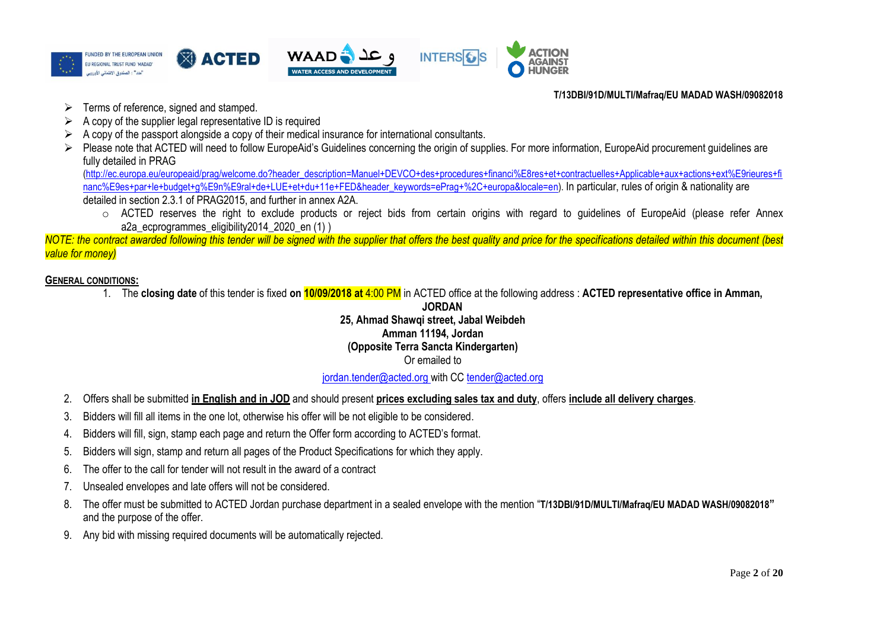

- $\triangleright$  Terms of reference, signed and stamped.
- $\triangleright$  A copy of the supplier legal representative ID is required
- $\triangleright$  A copy of the passport alongside a copy of their medical insurance for international consultants.
- Please note that ACTED will need to follow EuropeAid's Guidelines concerning the origin of supplies. For more information, EuropeAid procurement guidelines are fully detailed in PRAG

[\(http://ec.europa.eu/europeaid/prag/welcome.do?header\\_description=Manuel+DEVCO+des+procedures+financi%E8res+et+contractuelles+Applicable+aux+actions+ext%E9rieures+fi](http://ec.europa.eu/europeaid/prag/welcome.do?header_description=Manuel+DEVCO+des+procedures+financi%E8res+et+contractuelles+Applicable+aux+actions+ext%E9rieures+financ%E9es+par+le+budget+g%E9n%E9ral+de+LUE+et+du+11e+FED&header_keywords=ePrag+%2C+europa&locale=en) [nanc%E9es+par+le+budget+g%E9n%E9ral+de+LUE+et+du+11e+FED&header\\_keywords=ePrag+%2C+europa&locale=en\)](http://ec.europa.eu/europeaid/prag/welcome.do?header_description=Manuel+DEVCO+des+procedures+financi%E8res+et+contractuelles+Applicable+aux+actions+ext%E9rieures+financ%E9es+par+le+budget+g%E9n%E9ral+de+LUE+et+du+11e+FED&header_keywords=ePrag+%2C+europa&locale=en). In particular, rules of origin & nationality are detailed in section 2.3.1 of PRAG2015, and further in annex A2A.

o ACTED reserves the right to exclude products or reject bids from certain origins with regard to guidelines of EuropeAid (please refer Annex a2a\_ecprogrammes\_eligibility2014\_2020\_en (1) )

*NOTE: the contract awarded following this tender will be signed with the supplier that offers the best quality and price for the specifications detailed within this document (best value for money)*

### **GENERAL CONDITIONS:**

1. The **closing date** of this tender is fixed **on 10/09/2018 at** 4:00 PM in ACTED office at the following address : **ACTED representative office in Amman,** 

### **JORDAN 25, Ahmad Shawqi street, Jabal Weibdeh Amman 11194, Jordan (Opposite Terra Sancta Kindergarten)** Or emailed to

### [jordan.tender@acted.org](mailto:jordan.tender@acted.org) with CC [tender@acted.org](mailto:tender@acted.org)

- 2. Offers shall be submitted **in English and in JOD** and should present **prices excluding sales tax and duty**, offers **include all delivery charges**.
- 3. Bidders will fill all items in the one lot, otherwise his offer will be not eligible to be considered.
- 4. Bidders will fill, sign, stamp each page and return the Offer form according to ACTED's format.
- 5. Bidders will sign, stamp and return all pages of the Product Specifications for which they apply.
- 6. The offer to the call for tender will not result in the award of a contract
- 7. Unsealed envelopes and late offers will not be considered.
- 8. The offer must be submitted to ACTED Jordan purchase department in a sealed envelope with the mention "**T/13DBI/91D/MULTI/Mafraq/EU MADAD WASH/09082018"** and the purpose of the offer.
- 9. Any bid with missing required documents will be automatically rejected.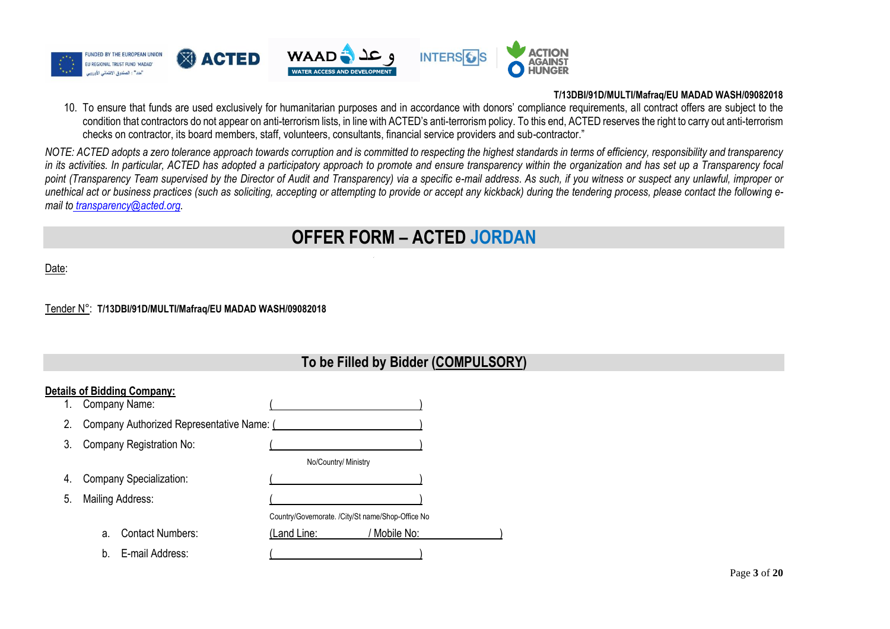

10. To ensure that funds are used exclusively for humanitarian purposes and in accordance with donors' compliance requirements, all contract offers are subject to the condition that contractors do not appear on anti-terrorism lists, in line with ACTED's anti-terrorism policy. To this end, ACTED reserves the right to carry out anti-terrorism checks on contractor, its board members, staff, volunteers, consultants, financial service providers and sub-contractor."

*NOTE: ACTED adopts a zero tolerance approach towards corruption and is committed to respecting the highest standards in terms of efficiency, responsibility and transparency in its activities. In particular, ACTED has adopted a participatory approach to promote and ensure transparency within the organization and has set up a Transparency focal point (Transparency Team supervised by the Director of Audit and Transparency) via a specific e-mail address*. *As such, if you witness or suspect any unlawful, improper or unethical act or business practices (such as soliciting, accepting or attempting to provide or accept any kickback) during the tendering process, please contact the following email to [transparency@acted.org.](mailto:transparency@acted.org)*

### **OFFER FORM – ACTED JORDAN**

Date:

#### Tender N°: **T/13DBI/91D/MULTI/Mafraq/EU MADAD WASH/09082018**

|    | <b>Details of Bidding Company:</b>        |                                                   |
|----|-------------------------------------------|---------------------------------------------------|
| 1. | Company Name:                             |                                                   |
| 2. | Company Authorized Representative Name: ( |                                                   |
| 3. | Company Registration No:                  |                                                   |
|    |                                           | No/Country/ Ministry                              |
| 4. | Company Specialization:                   |                                                   |
| 5. | Mailing Address:                          |                                                   |
|    |                                           | Country/Governorate. /City/St name/Shop-Office No |
|    | <b>Contact Numbers:</b><br>a.             | ' Mobile No:<br>(Land Line:                       |
|    | E-mail Address:<br>b <sub>1</sub>         |                                                   |

### **To be Filled by Bidder (COMPULSORY)**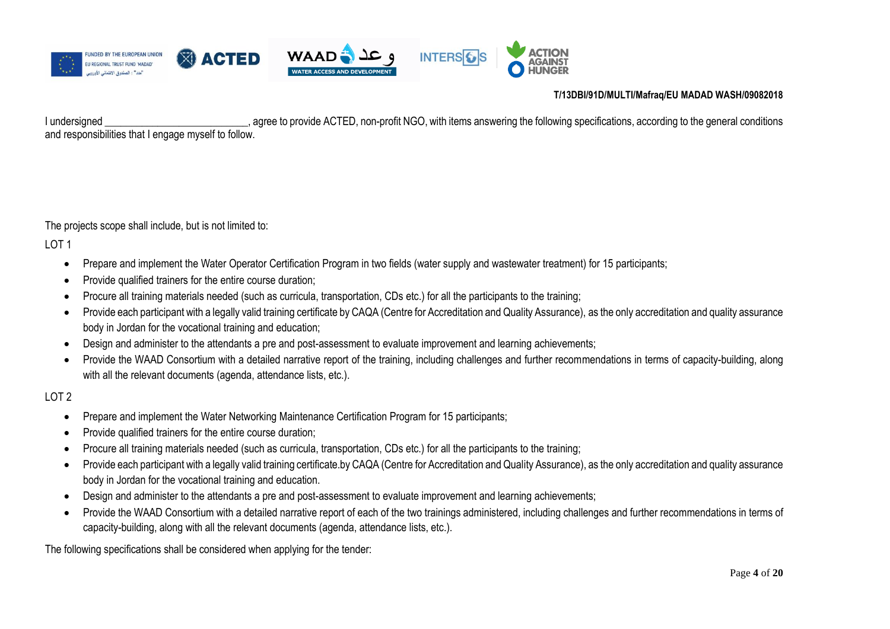

I undersigned \_\_\_\_\_\_\_\_\_\_\_\_\_\_\_\_\_\_\_\_\_\_\_\_\_\_\_\_\_, agree to provide ACTED, non-profit NGO, with items answering the following specifications, according to the general conditions and responsibilities that I engage myself to follow.

The projects scope shall include, but is not limited to:

LOT 1

- Prepare and implement the Water Operator Certification Program in two fields (water supply and wastewater treatment) for 15 participants;
- Provide qualified trainers for the entire course duration:
- Procure all training materials needed (such as curricula, transportation, CDs etc.) for all the participants to the training;
- Provide each participant with a legally valid training certificate by CAQA (Centre for Accreditation and Quality Assurance), as the only accreditation and quality assurance body in Jordan for the vocational training and education;
- Design and administer to the attendants a pre and post-assessment to evaluate improvement and learning achievements;
- Provide the WAAD Consortium with a detailed narrative report of the training, including challenges and further recommendations in terms of capacity-building, along with all the relevant documents (agenda, attendance lists, etc.).

### LOT 2

- Prepare and implement the Water Networking Maintenance Certification Program for 15 participants;
- Provide qualified trainers for the entire course duration;
- Procure all training materials needed (such as curricula, transportation, CDs etc.) for all the participants to the training;
- Provide each participant with a legally valid training certificate.by CAQA (Centre for Accreditation and Quality Assurance), as the only accreditation and quality assurance body in Jordan for the vocational training and education.
- Design and administer to the attendants a pre and post-assessment to evaluate improvement and learning achievements;
- Provide the WAAD Consortium with a detailed narrative report of each of the two trainings administered, including challenges and further recommendations in terms of capacity-building, along with all the relevant documents (agenda, attendance lists, etc.).

The following specifications shall be considered when applying for the tender: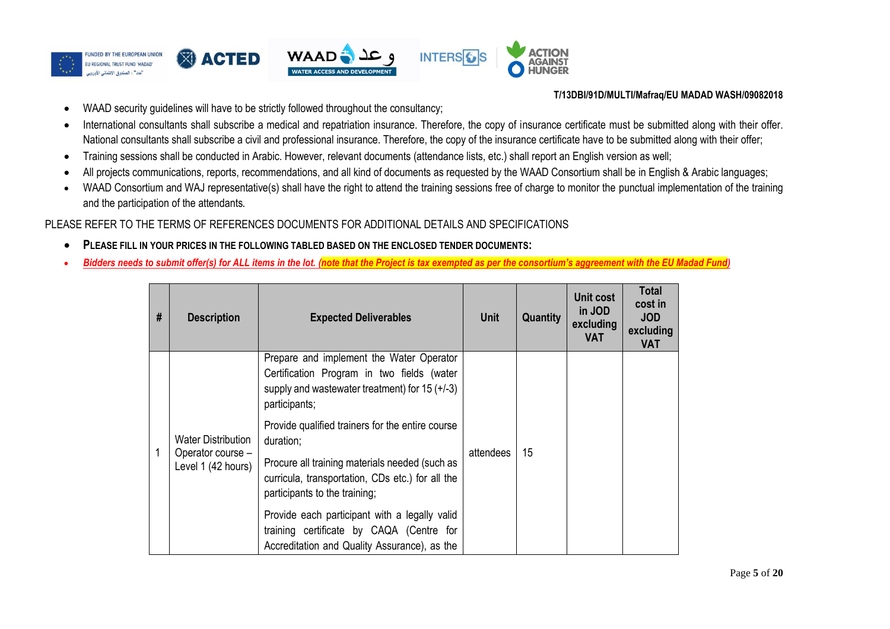

- WAAD security guidelines will have to be strictly followed throughout the consultancy;
- International consultants shall subscribe a medical and repatriation insurance. Therefore, the copy of insurance certificate must be submitted along with their offer. National consultants shall subscribe a civil and professional insurance. Therefore, the copy of the insurance certificate have to be submitted along with their offer;
- Training sessions shall be conducted in Arabic. However, relevant documents (attendance lists, etc.) shall report an English version as well;
- All projects communications, reports, recommendations, and all kind of documents as requested by the WAAD Consortium shall be in English & Arabic languages;
- WAAD Consortium and WAJ representative(s) shall have the right to attend the training sessions free of charge to monitor the punctual implementation of the training and the participation of the attendants.

PLEASE REFER TO THE TERMS OF REFERENCES DOCUMENTS FOR ADDITIONAL DETAILS AND SPECIFICATIONS

- **PLEASE FILL IN YOUR PRICES IN THE FOLLOWING TABLED BASED ON THE ENCLOSED TENDER DOCUMENTS:**
- *Bidders needs to submit offer(s) for ALL items in the lot. (note that the Project is tax exempted as per the consortium's aggreement with the EU Madad Fund)*

| # | <b>Description</b>                                                   | <b>Expected Deliverables</b>                                                                                                                                                                         | <b>Unit</b> | Quantity | Unit cost<br>in JOD<br>excluding<br><b>VAT</b> | <b>Total</b><br>cost in<br><b>JOD</b><br>excluding<br><b>VAT</b> |
|---|----------------------------------------------------------------------|------------------------------------------------------------------------------------------------------------------------------------------------------------------------------------------------------|-------------|----------|------------------------------------------------|------------------------------------------------------------------|
|   |                                                                      | Prepare and implement the Water Operator<br>Certification Program in two fields (water<br>supply and wastewater treatment) for $15 (+/-3)$<br>participants;                                          |             |          |                                                |                                                                  |
| 1 | <b>Water Distribution</b><br>Operator course -<br>Level 1 (42 hours) | Provide qualified trainers for the entire course<br>duration;<br>Procure all training materials needed (such as<br>curricula, transportation, CDs etc.) for all the<br>participants to the training; | attendees   | 15       |                                                |                                                                  |
|   |                                                                      | Provide each participant with a legally valid<br>training certificate by CAQA (Centre for<br>Accreditation and Quality Assurance), as the                                                            |             |          |                                                |                                                                  |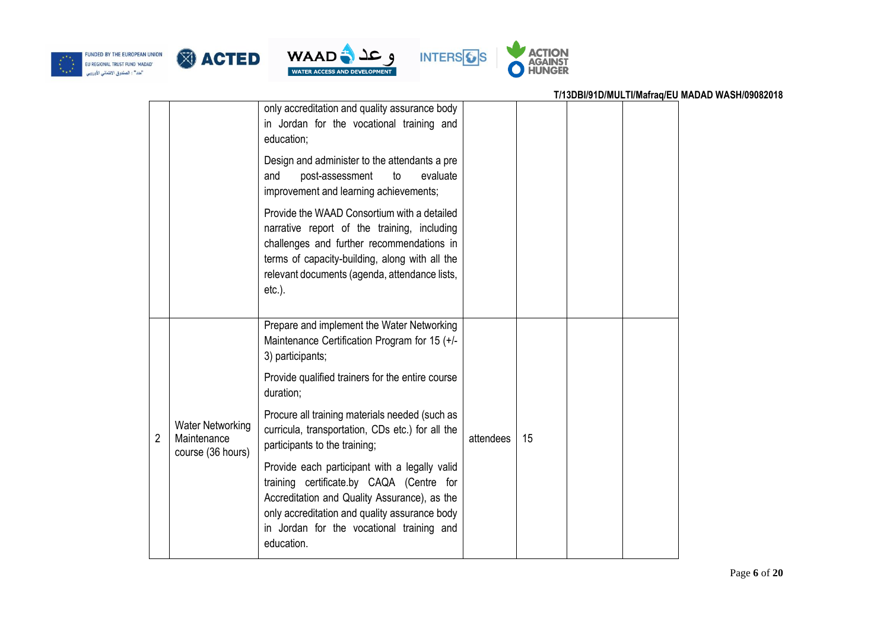







### **T/13DBI/91D/MULTI/Mafraq/EU MADAD WASH/09082018** only accreditation and quality assurance body in Jordan for the vocational training and education; Design and administer to the attendants a pre and post-assessment to evaluate improvement and learning achievements; Provide the WAAD Consortium with a detailed narrative report of the training, including challenges and further recommendations in terms of capacity-building, along with all the relevant documents (agenda, attendance lists, etc.). 2 Water Networking Maintenance course (36 hours) Prepare and implement the Water Networking Maintenance Certification Program for 15 (+/- 3) participants; Provide qualified trainers for the entire course duration; Procure all training materials needed (such as curricula, transportation, CDs etc.) for all the participants to the training; Provide each participant with a legally valid training certificate.by CAQA (Centre for Accreditation and Quality Assurance), as the only accreditation and quality assurance body in Jordan for the vocational training and education. attendees 15

### Page **6** of **20**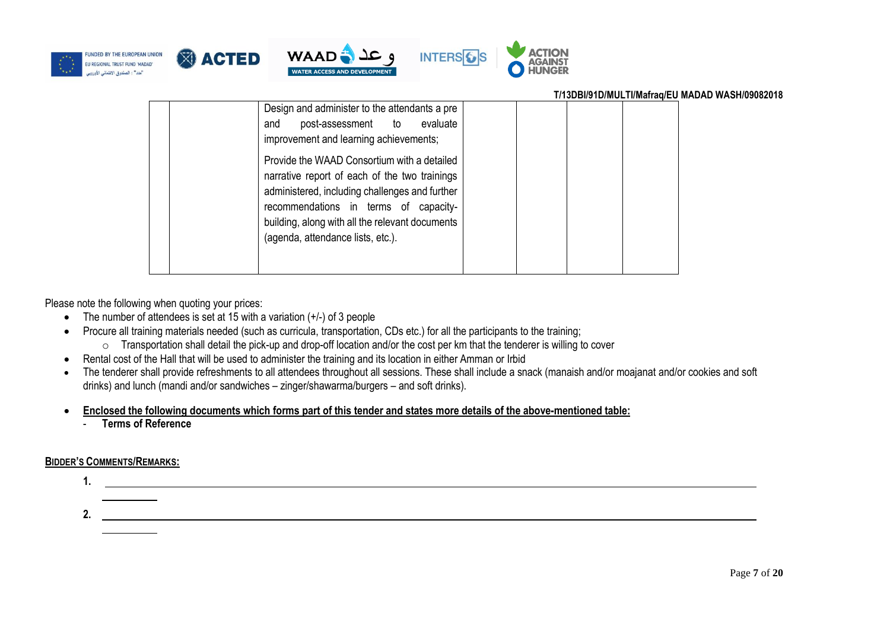







| T/13DBI/91D/MULTI/Mafraq/EU MADAD WASH/09082018                                                                                                                                                                                                                                                                                                                                                                  |  |
|------------------------------------------------------------------------------------------------------------------------------------------------------------------------------------------------------------------------------------------------------------------------------------------------------------------------------------------------------------------------------------------------------------------|--|
| Design and administer to the attendants a pre<br>post-assessment to evaluate<br>and<br>improvement and learning achievements;<br>Provide the WAAD Consortium with a detailed<br>narrative report of each of the two trainings<br>administered, including challenges and further<br>recommendations in terms of capacity-<br>building, along with all the relevant documents<br>(agenda, attendance lists, etc.). |  |
|                                                                                                                                                                                                                                                                                                                                                                                                                  |  |

Please note the following when quoting your prices:

- The number of attendees is set at 15 with a variation  $(+/-)$  of 3 people
- Procure all training materials needed (such as curricula, transportation, CDs etc.) for all the participants to the training;
	- o Transportation shall detail the pick-up and drop-off location and/or the cost per km that the tenderer is willing to cover
- Rental cost of the Hall that will be used to administer the training and its location in either Amman or Irbid
- The tenderer shall provide refreshments to all attendees throughout all sessions. These shall include a snack (manaish and/or moajanat and/or cookies and soft drinks) and lunch (mandi and/or sandwiches – zinger/shawarma/burgers – and soft drinks).
- **Enclosed the following documents which forms part of this tender and states more details of the above-mentioned table:**
	- **Terms of Reference**

### **BIDDER'S COMMENTS/REMARKS:**

# **1. 2.**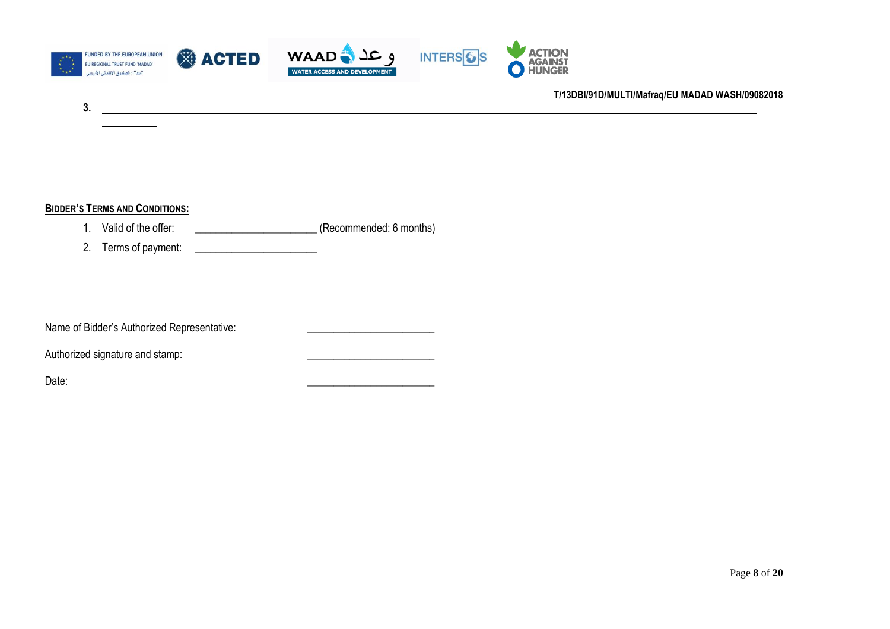

### **BIDDER'S TERMS AND CONDITIONS:**

**3.**

- 1. Valid of the offer: \_\_\_\_\_\_\_\_\_\_\_\_\_\_\_\_\_\_\_\_\_\_\_ (Recommended: 6 months)
- 2. Terms of payment:

Name of Bidder's Authorized Representative: \_\_\_\_\_\_\_\_\_\_\_\_\_\_\_\_\_\_\_\_\_\_\_\_

### Authorized signature and stamp:

Date: \_\_\_\_\_\_\_\_\_\_\_\_\_\_\_\_\_\_\_\_\_\_\_\_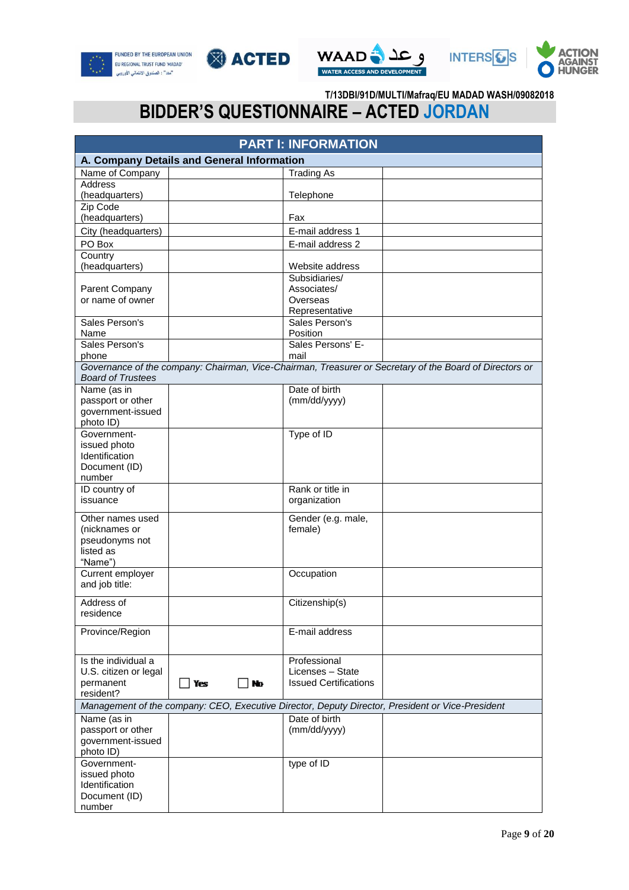







# **BIDDER'S QUESTIONNAIRE – ACTED JORDAN**

| <b>PART I: INFORMATION</b>         |                                            |                              |                                                                                                         |  |  |  |
|------------------------------------|--------------------------------------------|------------------------------|---------------------------------------------------------------------------------------------------------|--|--|--|
|                                    | A. Company Details and General Information |                              |                                                                                                         |  |  |  |
| Name of Company                    |                                            | <b>Trading As</b>            |                                                                                                         |  |  |  |
| <b>Address</b>                     |                                            |                              |                                                                                                         |  |  |  |
| (headquarters)                     |                                            | Telephone                    |                                                                                                         |  |  |  |
| Zip Code                           |                                            |                              |                                                                                                         |  |  |  |
| (headquarters)                     |                                            | Fax                          |                                                                                                         |  |  |  |
| City (headquarters)                |                                            | E-mail address 1             |                                                                                                         |  |  |  |
| PO Box                             |                                            | E-mail address 2             |                                                                                                         |  |  |  |
| Country                            |                                            |                              |                                                                                                         |  |  |  |
| (headquarters)                     |                                            | Website address              |                                                                                                         |  |  |  |
|                                    |                                            | Subsidiaries/<br>Associates/ |                                                                                                         |  |  |  |
| Parent Company<br>or name of owner |                                            | Overseas                     |                                                                                                         |  |  |  |
|                                    |                                            | Representative               |                                                                                                         |  |  |  |
| Sales Person's                     |                                            | Sales Person's               |                                                                                                         |  |  |  |
| Name                               |                                            | Position                     |                                                                                                         |  |  |  |
| Sales Person's                     |                                            | Sales Persons' E-            |                                                                                                         |  |  |  |
| phone                              |                                            | mail                         |                                                                                                         |  |  |  |
|                                    |                                            |                              | Governance of the company: Chairman, Vice-Chairman, Treasurer or Secretary of the Board of Directors or |  |  |  |
| <b>Board of Trustees</b>           |                                            |                              |                                                                                                         |  |  |  |
| Name (as in                        |                                            | Date of birth                |                                                                                                         |  |  |  |
| passport or other                  |                                            | (mm/dd/yyyy)                 |                                                                                                         |  |  |  |
| government-issued                  |                                            |                              |                                                                                                         |  |  |  |
| photo ID)<br>Government-           |                                            | Type of ID                   |                                                                                                         |  |  |  |
| issued photo                       |                                            |                              |                                                                                                         |  |  |  |
| Identification                     |                                            |                              |                                                                                                         |  |  |  |
| Document (ID)                      |                                            |                              |                                                                                                         |  |  |  |
| number                             |                                            |                              |                                                                                                         |  |  |  |
| ID country of                      |                                            | Rank or title in             |                                                                                                         |  |  |  |
| issuance                           |                                            | organization                 |                                                                                                         |  |  |  |
| Other names used                   |                                            | Gender (e.g. male,           |                                                                                                         |  |  |  |
| (nicknames or                      |                                            | female)                      |                                                                                                         |  |  |  |
| pseudonyms not                     |                                            |                              |                                                                                                         |  |  |  |
| listed as                          |                                            |                              |                                                                                                         |  |  |  |
| "Name")                            |                                            |                              |                                                                                                         |  |  |  |
| Current employer                   |                                            | Occupation                   |                                                                                                         |  |  |  |
| and job title:                     |                                            |                              |                                                                                                         |  |  |  |
| Address of                         |                                            | Citizenship(s)               |                                                                                                         |  |  |  |
| residence                          |                                            |                              |                                                                                                         |  |  |  |
|                                    |                                            |                              |                                                                                                         |  |  |  |
| Province/Region                    |                                            | E-mail address               |                                                                                                         |  |  |  |
|                                    |                                            |                              |                                                                                                         |  |  |  |
| Is the individual a                |                                            | Professional                 |                                                                                                         |  |  |  |
| U.S. citizen or legal              |                                            | Licenses - State             |                                                                                                         |  |  |  |
| permanent                          | No<br>  Yes                                | <b>Issued Certifications</b> |                                                                                                         |  |  |  |
| resident?                          |                                            |                              |                                                                                                         |  |  |  |
|                                    |                                            |                              | Management of the company: CEO, Executive Director, Deputy Director, President or Vice-President        |  |  |  |
| Name (as in                        |                                            | Date of birth                |                                                                                                         |  |  |  |
| passport or other                  |                                            | (mm/dd/yyyy)                 |                                                                                                         |  |  |  |
| government-issued                  |                                            |                              |                                                                                                         |  |  |  |
| photo ID)                          |                                            |                              |                                                                                                         |  |  |  |
| Government-                        |                                            | type of ID                   |                                                                                                         |  |  |  |
| issued photo<br>Identification     |                                            |                              |                                                                                                         |  |  |  |
| Document (ID)                      |                                            |                              |                                                                                                         |  |  |  |
| number                             |                                            |                              |                                                                                                         |  |  |  |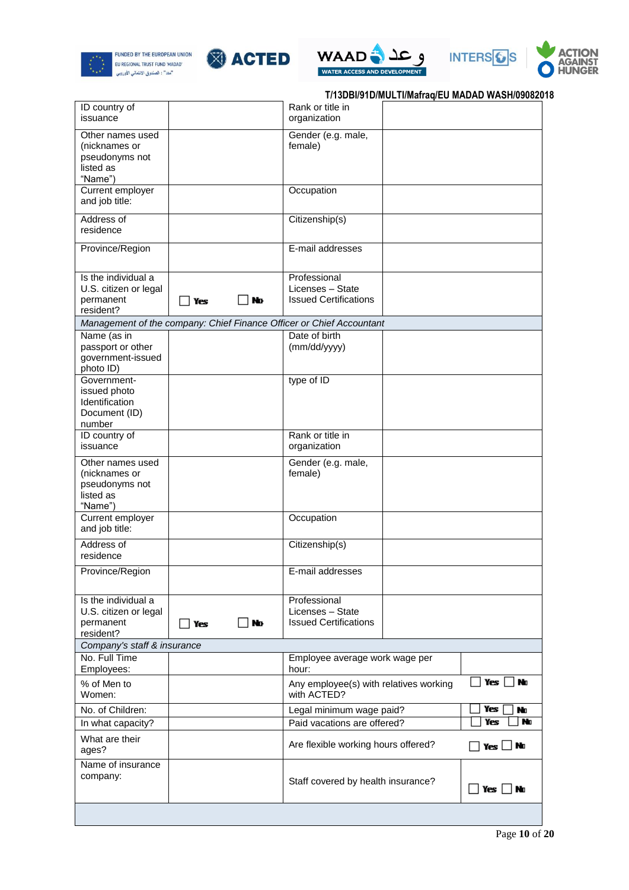









|  | T/13DBI/91D/MULTI/Mafraq/EU MADAD WASH/09082018 |  |  |  |  |
|--|-------------------------------------------------|--|--|--|--|
|--|-------------------------------------------------|--|--|--|--|

| ID country of<br>issuance                                                   |                                                                      | Rank or title in<br>organization                                       |  |  |
|-----------------------------------------------------------------------------|----------------------------------------------------------------------|------------------------------------------------------------------------|--|--|
| Other names used<br>(nicknames or<br>pseudonyms not<br>listed as<br>"Name") |                                                                      | Gender (e.g. male,<br>female)                                          |  |  |
| Current employer<br>and job title:                                          |                                                                      | Occupation                                                             |  |  |
| Address of<br>residence                                                     |                                                                      | Citizenship(s)                                                         |  |  |
| Province/Region                                                             |                                                                      | E-mail addresses                                                       |  |  |
| Is the individual a<br>U.S. citizen or legal<br>permanent<br>resident?      | No<br>∏Yes                                                           | Professional<br>Licenses - State<br><b>Issued Certifications</b>       |  |  |
|                                                                             | Management of the company: Chief Finance Officer or Chief Accountant |                                                                        |  |  |
| Name (as in<br>passport or other<br>government-issued<br>photo ID)          |                                                                      | Date of birth<br>(mm/dd/yyyy)                                          |  |  |
| Government-<br>issued photo<br>Identification<br>Document (ID)<br>number    |                                                                      | type of ID                                                             |  |  |
| ID country of<br>issuance                                                   |                                                                      | Rank or title in<br>organization                                       |  |  |
| Other names used<br>(nicknames or<br>pseudonyms not<br>listed as<br>"Name") |                                                                      | Gender (e.g. male,<br>female)                                          |  |  |
| Current employer<br>and job title:                                          |                                                                      | Occupation                                                             |  |  |
| Address of<br>residence                                                     |                                                                      | Citizenship(s)                                                         |  |  |
| Province/Region                                                             |                                                                      | E-mail addresses                                                       |  |  |
| Is the individual a<br>U.S. citizen or legal<br>permanent<br>resident?      | No<br>Yes                                                            | Professional<br>Licenses - State<br><b>Issued Certifications</b>       |  |  |
| Company's staff & insurance                                                 |                                                                      |                                                                        |  |  |
| No. Full Time<br>Employees:                                                 |                                                                      | Employee average work wage per<br>hour:                                |  |  |
| % of Men to<br>Women:                                                       |                                                                      | Yes  <br>l No<br>Any employee(s) with relatives working<br>with ACTED? |  |  |
| No. of Children:                                                            |                                                                      | Yes<br>No<br>Legal minimum wage paid?                                  |  |  |
| In what capacity?                                                           |                                                                      | No<br>Paid vacations are offered?<br>Yes                               |  |  |
| What are their<br>ages?                                                     |                                                                      | Are flexible working hours offered?<br>$Yes \Box$ No                   |  |  |
| Name of insurance<br>company:                                               |                                                                      | Staff covered by health insurance?<br>_  Yes  _  No                    |  |  |
|                                                                             |                                                                      |                                                                        |  |  |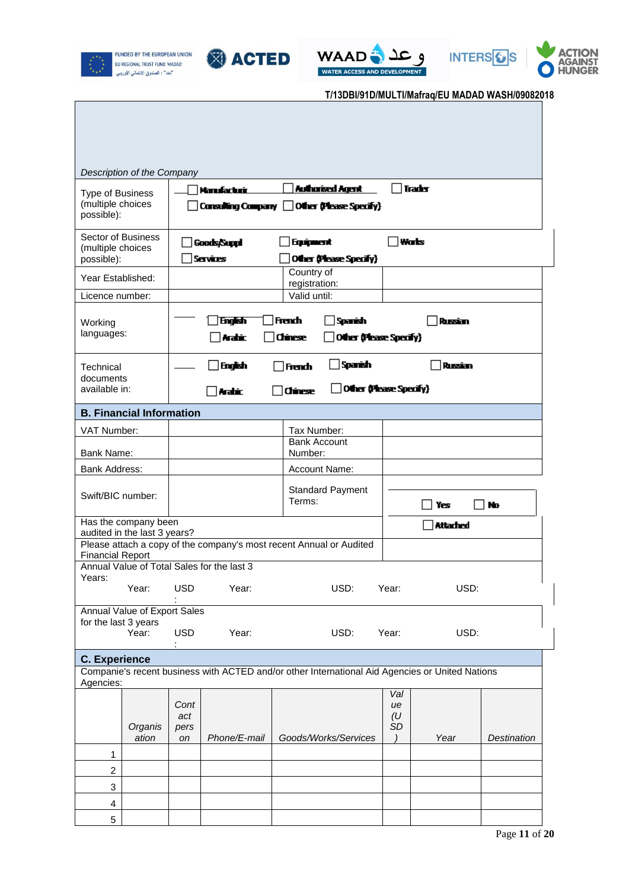









|                                                            | Description of the Company                                          |                           |                                            |  |                                                                                                 |                        |          |             |
|------------------------------------------------------------|---------------------------------------------------------------------|---------------------------|--------------------------------------------|--|-------------------------------------------------------------------------------------------------|------------------------|----------|-------------|
| <b>Type of Business</b><br>(multiple choices<br>possible): |                                                                     |                           | Manufacturi                                |  | <b>Authorised Agent</b><br>Consulting Company   Other (Please Specify)                          |                        | Trader   |             |
| Sector of Business<br>(multiple choices<br>possible):      |                                                                     |                           | Goods/Suppl<br><b>Services</b>             |  | Equipment<br>Other (Please Specify)                                                             |                        | Wats     |             |
| Year Established:                                          |                                                                     |                           |                                            |  | Country of<br>registration:                                                                     |                        |          |             |
| Licence number:                                            |                                                                     |                           |                                            |  | Valid until:                                                                                    |                        |          |             |
| Working<br>languages:                                      |                                                                     |                           | English<br>Arabic,                         |  | French<br>Sparish<br><b>Chinese</b><br>Other (Please Specify)                                   |                        | Russian  |             |
| Technical<br>documents<br>available in:                    |                                                                     |                           | English<br>Arabic,                         |  | Spanish<br>French<br>Other (Please Specify)<br><b>Chinese</b>                                   |                        | Russian  |             |
|                                                            | <b>B. Financial Information</b>                                     |                           |                                            |  |                                                                                                 |                        |          |             |
| VAT Number:                                                |                                                                     |                           |                                            |  | Tax Number:                                                                                     |                        |          |             |
| <b>Bank Account</b><br>Bank Name:<br>Number:               |                                                                     |                           |                                            |  |                                                                                                 |                        |          |             |
| <b>Bank Address:</b><br>Account Name:                      |                                                                     |                           |                                            |  |                                                                                                 |                        |          |             |
|                                                            | <b>Standard Payment</b><br>Swift/BIC number:<br>Terms:<br>No<br>Yes |                           |                                            |  |                                                                                                 |                        |          |             |
|                                                            | Has the company been<br>audited in the last 3 years?                |                           |                                            |  |                                                                                                 |                        | Attached |             |
| <b>Financial Report</b>                                    |                                                                     |                           |                                            |  | Please attach a copy of the company's most recent Annual or Audited                             |                        |          |             |
|                                                            |                                                                     |                           | Annual Value of Total Sales for the last 3 |  |                                                                                                 |                        |          |             |
| Years:                                                     | Year:                                                               | <b>USD</b>                | Year:                                      |  | USD:                                                                                            | Year:                  | USD:     |             |
|                                                            | Annual Value of Export Sales                                        |                           |                                            |  |                                                                                                 |                        |          |             |
| for the last 3 years                                       | Year:                                                               | <b>USD</b>                | Year:                                      |  | USD:                                                                                            | Year:                  | USD:     |             |
| <b>C. Experience</b>                                       |                                                                     |                           |                                            |  |                                                                                                 |                        |          |             |
| Agencies:                                                  |                                                                     |                           |                                            |  | Companie's recent business with ACTED and/or other International Aid Agencies or United Nations |                        |          |             |
|                                                            | Organis<br>ation                                                    | Cont<br>act<br>pers<br>on | Phone/E-mail                               |  | Goods/Works/Services                                                                            | Val<br>ue<br>(U)<br>SD | Year     | Destination |
| 1                                                          |                                                                     |                           |                                            |  |                                                                                                 |                        |          |             |
| 2                                                          |                                                                     |                           |                                            |  |                                                                                                 |                        |          |             |
| 3                                                          |                                                                     |                           |                                            |  |                                                                                                 |                        |          |             |
| 4                                                          |                                                                     |                           |                                            |  |                                                                                                 |                        |          |             |
| 5                                                          |                                                                     |                           |                                            |  |                                                                                                 |                        |          |             |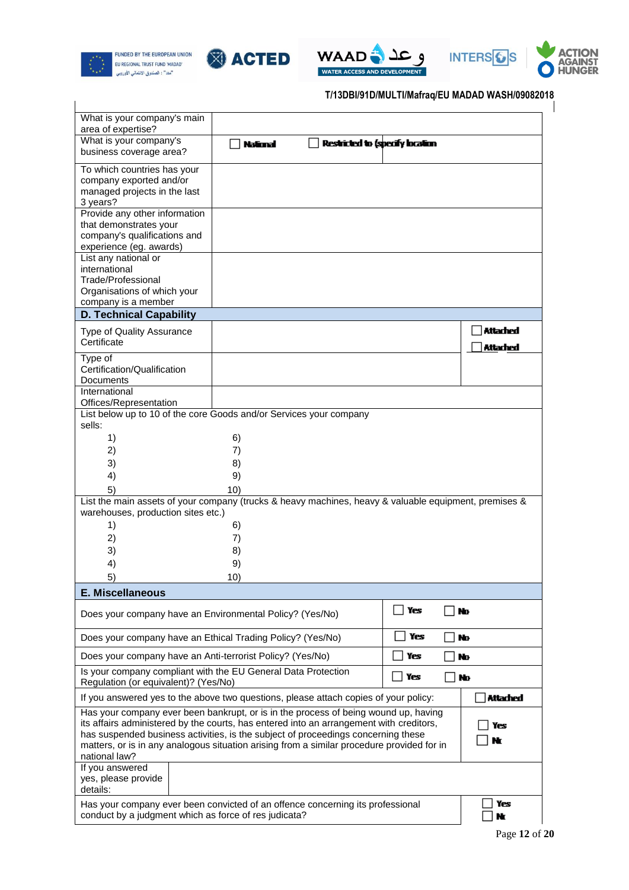









| What is your company's main<br>area of expertise?                                                                                                                                                                                                                                                                                                                                  |                 |                                 |     |                                    |
|------------------------------------------------------------------------------------------------------------------------------------------------------------------------------------------------------------------------------------------------------------------------------------------------------------------------------------------------------------------------------------|-----------------|---------------------------------|-----|------------------------------------|
| What is your company's<br>business coverage area?                                                                                                                                                                                                                                                                                                                                  | <b>National</b> | Restricted to (specify location |     |                                    |
| To which countries has your<br>company exported and/or<br>managed projects in the last<br>3 years?                                                                                                                                                                                                                                                                                 |                 |                                 |     |                                    |
| Provide any other information<br>that demonstrates your<br>company's qualifications and<br>experience (eg. awards)                                                                                                                                                                                                                                                                 |                 |                                 |     |                                    |
| List any national or<br>international<br>Trade/Professional<br>Organisations of which your<br>company is a member                                                                                                                                                                                                                                                                  |                 |                                 |     |                                    |
| <b>D. Technical Capability</b>                                                                                                                                                                                                                                                                                                                                                     |                 |                                 |     |                                    |
| Type of Quality Assurance<br>Certificate                                                                                                                                                                                                                                                                                                                                           |                 |                                 |     | <b>Attached</b><br><b>Attached</b> |
| Type of<br>Certification/Qualification<br>Documents                                                                                                                                                                                                                                                                                                                                |                 |                                 |     |                                    |
| International<br>Offices/Representation<br>List below up to 10 of the core Goods and/or Services your company                                                                                                                                                                                                                                                                      |                 |                                 |     |                                    |
| sells:                                                                                                                                                                                                                                                                                                                                                                             |                 |                                 |     |                                    |
| 1)                                                                                                                                                                                                                                                                                                                                                                                 | 6)              |                                 |     |                                    |
| 2)                                                                                                                                                                                                                                                                                                                                                                                 | 7)              |                                 |     |                                    |
| 3)                                                                                                                                                                                                                                                                                                                                                                                 | 8)              |                                 |     |                                    |
| 4)                                                                                                                                                                                                                                                                                                                                                                                 | 9)              |                                 |     |                                    |
| 5)<br>List the main assets of your company (trucks & heavy machines, heavy & valuable equipment, premises &                                                                                                                                                                                                                                                                        | 10)             |                                 |     |                                    |
| warehouses, production sites etc.)                                                                                                                                                                                                                                                                                                                                                 |                 |                                 |     |                                    |
| 1)                                                                                                                                                                                                                                                                                                                                                                                 | 6)              |                                 |     |                                    |
| 2)                                                                                                                                                                                                                                                                                                                                                                                 | 7)              |                                 |     |                                    |
| 3)                                                                                                                                                                                                                                                                                                                                                                                 | 8)              |                                 |     |                                    |
| 4)                                                                                                                                                                                                                                                                                                                                                                                 | 9)              |                                 |     |                                    |
| 5)                                                                                                                                                                                                                                                                                                                                                                                 | 10)             |                                 |     |                                    |
| <b>E. Miscellaneous</b>                                                                                                                                                                                                                                                                                                                                                            |                 |                                 |     |                                    |
| Does your company have an Environmental Policy? (Yes/No)                                                                                                                                                                                                                                                                                                                           |                 |                                 | Yes | No                                 |
| Does your company have an Ethical Trading Policy? (Yes/No)                                                                                                                                                                                                                                                                                                                         |                 |                                 | Yes | No                                 |
| Does your company have an Anti-terrorist Policy? (Yes/No)                                                                                                                                                                                                                                                                                                                          |                 |                                 | Yes | No                                 |
| Is your company compliant with the EU General Data Protection<br>Regulation (or equivalent)? (Yes/No)                                                                                                                                                                                                                                                                              |                 |                                 | Yes | No                                 |
| If you answered yes to the above two questions, please attach copies of your policy:                                                                                                                                                                                                                                                                                               |                 |                                 |     | <b>Attached</b>                    |
| Has your company ever been bankrupt, or is in the process of being wound up, having<br>its affairs administered by the courts, has entered into an arrangement with creditors,<br>has suspended business activities, is the subject of proceedings concerning these<br>matters, or is in any analogous situation arising from a similar procedure provided for in<br>national law? |                 |                                 |     | Yes                                |
| If you answered<br>yes, please provide<br>details:                                                                                                                                                                                                                                                                                                                                 |                 |                                 |     |                                    |
| Has your company ever been convicted of an offence concerning its professional<br>conduct by a judgment which as force of res judicata?                                                                                                                                                                                                                                            |                 |                                 |     | Yes<br>Nr                          |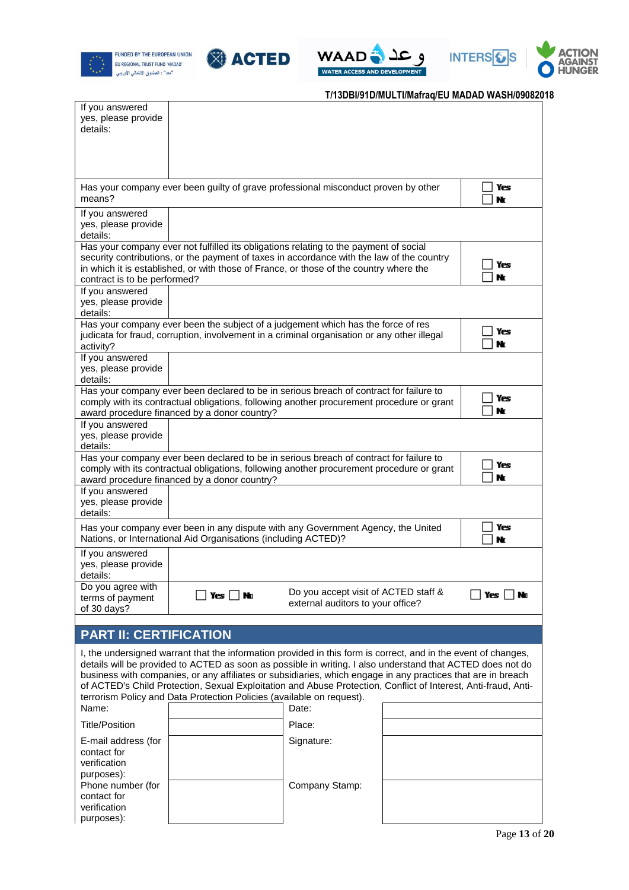









| If you answered<br>yes, please provide<br>details:             |                                                                                                                                                                                                                                                                                                                                                                                                                                                                                                                                         |                                                                           |  |             |  |  |
|----------------------------------------------------------------|-----------------------------------------------------------------------------------------------------------------------------------------------------------------------------------------------------------------------------------------------------------------------------------------------------------------------------------------------------------------------------------------------------------------------------------------------------------------------------------------------------------------------------------------|---------------------------------------------------------------------------|--|-------------|--|--|
| means?                                                         | Has your company ever been guilty of grave professional misconduct proven by other                                                                                                                                                                                                                                                                                                                                                                                                                                                      |                                                                           |  | Yes<br>Nt   |  |  |
| If you answered<br>yes, please provide<br>details:             |                                                                                                                                                                                                                                                                                                                                                                                                                                                                                                                                         |                                                                           |  |             |  |  |
| contract is to be performed?                                   | Has your company ever not fulfilled its obligations relating to the payment of social<br>security contributions, or the payment of taxes in accordance with the law of the country<br>in which it is established, or with those of France, or those of the country where the                                                                                                                                                                                                                                                            |                                                                           |  | Yes<br>Nt   |  |  |
| If you answered<br>yes, please provide<br>details:             |                                                                                                                                                                                                                                                                                                                                                                                                                                                                                                                                         |                                                                           |  |             |  |  |
| activity?                                                      | Has your company ever been the subject of a judgement which has the force of res<br>judicata for fraud, corruption, involvement in a criminal organisation or any other illegal                                                                                                                                                                                                                                                                                                                                                         |                                                                           |  | Yes<br>Nr   |  |  |
| If you answered<br>yes, please provide<br>details:             |                                                                                                                                                                                                                                                                                                                                                                                                                                                                                                                                         |                                                                           |  |             |  |  |
|                                                                | Has your company ever been declared to be in serious breach of contract for failure to<br>comply with its contractual obligations, following another procurement procedure or grant<br>award procedure financed by a donor country?                                                                                                                                                                                                                                                                                                     |                                                                           |  | Yes<br>Nr   |  |  |
| If you answered<br>yes, please provide<br>details:             |                                                                                                                                                                                                                                                                                                                                                                                                                                                                                                                                         |                                                                           |  |             |  |  |
|                                                                | Has your company ever been declared to be in serious breach of contract for failure to<br>comply with its contractual obligations, following another procurement procedure or grant<br>award procedure financed by a donor country?                                                                                                                                                                                                                                                                                                     |                                                                           |  | Yes<br>Nr   |  |  |
| If you answered<br>yes, please provide<br>details:             |                                                                                                                                                                                                                                                                                                                                                                                                                                                                                                                                         |                                                                           |  |             |  |  |
|                                                                | Has your company ever been in any dispute with any Government Agency, the United<br>Nations, or International Aid Organisations (including ACTED)?                                                                                                                                                                                                                                                                                                                                                                                      |                                                                           |  | Yes<br>Nr   |  |  |
| If you answered<br>yes, please provide<br>details:             |                                                                                                                                                                                                                                                                                                                                                                                                                                                                                                                                         |                                                                           |  |             |  |  |
| Do you agree with<br>terms of payment<br>of 30 days?           | _  Yes  _  No                                                                                                                                                                                                                                                                                                                                                                                                                                                                                                                           | Do you accept visit of ACTED staff &<br>external auditors to your office? |  | Yes  <br>No |  |  |
| <b>PART II: CERTIFICATION</b>                                  |                                                                                                                                                                                                                                                                                                                                                                                                                                                                                                                                         |                                                                           |  |             |  |  |
|                                                                | I, the undersigned warrant that the information provided in this form is correct, and in the event of changes,<br>details will be provided to ACTED as soon as possible in writing. I also understand that ACTED does not do<br>business with companies, or any affiliates or subsidiaries, which engage in any practices that are in breach<br>of ACTED's Child Protection, Sexual Exploitation and Abuse Protection, Conflict of Interest, Anti-fraud, Anti-<br>terrorism Policy and Data Protection Policies (available on request). |                                                                           |  |             |  |  |
| Name:                                                          |                                                                                                                                                                                                                                                                                                                                                                                                                                                                                                                                         | Date:                                                                     |  |             |  |  |
| <b>Title/Position</b><br>E-mail address (for                   |                                                                                                                                                                                                                                                                                                                                                                                                                                                                                                                                         | Place:<br>Signature:                                                      |  |             |  |  |
| contact for<br>verification<br>purposes):                      |                                                                                                                                                                                                                                                                                                                                                                                                                                                                                                                                         |                                                                           |  |             |  |  |
| Phone number (for<br>contact for<br>verification<br>purposes): |                                                                                                                                                                                                                                                                                                                                                                                                                                                                                                                                         | Company Stamp:                                                            |  |             |  |  |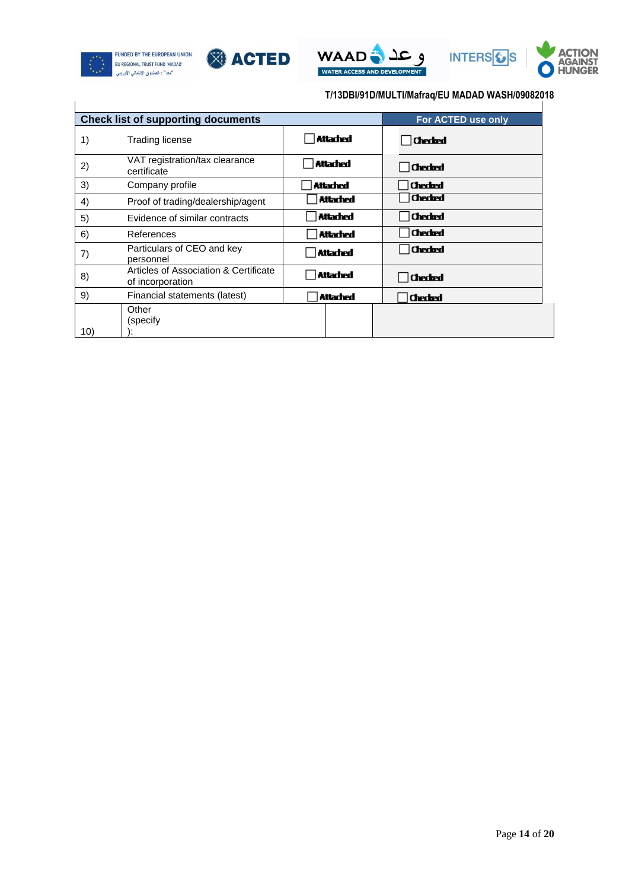









|     | <b>Check list of supporting documents</b>                 |                 | For ACTED use only |
|-----|-----------------------------------------------------------|-----------------|--------------------|
| 1)  | Trading license                                           | Attached        | <b>Checked</b>     |
| 2)  | VAT registration/tax clearance<br>certificate             | Attached        | <b>Checked</b>     |
| 3)  | Company profile                                           | Attached        | <b>Checked</b>     |
| 4)  | Proof of trading/dealership/agent                         | <b>Attached</b> | <b>Checked</b>     |
| 5)  | Evidence of similar contracts                             | Attached        | <b>Checked</b>     |
| 6)  | References                                                | <b>Attached</b> | <b>Checked</b>     |
| 7)  | Particulars of CEO and key<br>personnel                   | Attached        | <b>Checked</b>     |
| 8)  | Articles of Association & Certificate<br>of incorporation | <b>Attached</b> | <b>Checked</b>     |
| 9)  | Financial statements (latest)                             | Attached        | <b>Checked</b>     |
| 10) | Other<br>(specify                                         |                 |                    |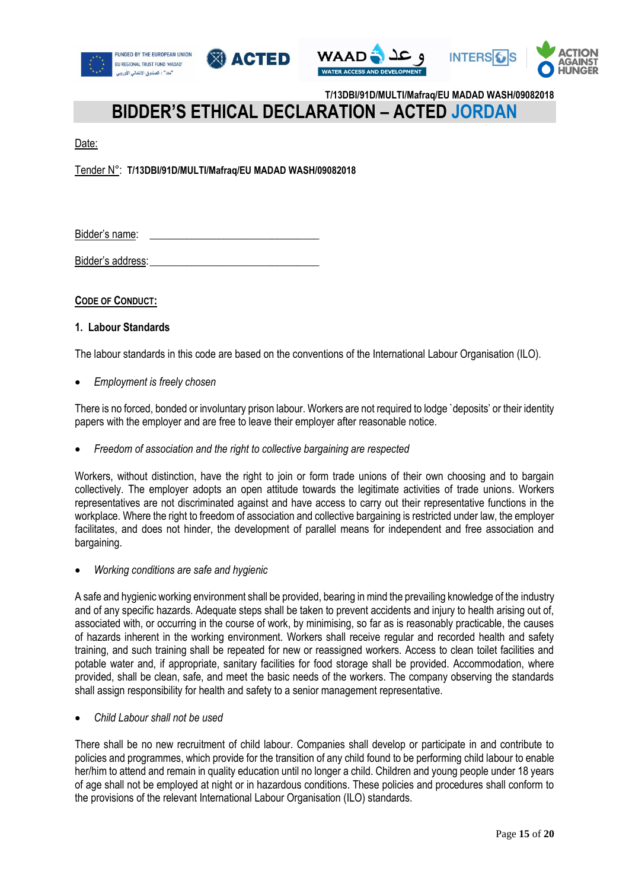







## **BIDDER'S ETHICAL DECLARATION – ACTED JORDAN**

Date:

Tender N°: **T/13DBI/91D/MULTI/Mafraq/EU MADAD WASH/09082018**

Bidder's name:

Bidder's address:

**CODE OF CONDUCT:**

### **1. Labour Standards**

The labour standards in this code are based on the conventions of the International Labour Organisation (ILO).

*Employment is freely chosen*

There is no forced, bonded or involuntary prison labour. Workers are not required to lodge `deposits' or their identity papers with the employer and are free to leave their employer after reasonable notice.

*Freedom of association and the right to collective bargaining are respected*

Workers, without distinction, have the right to join or form trade unions of their own choosing and to bargain collectively. The employer adopts an open attitude towards the legitimate activities of trade unions. Workers representatives are not discriminated against and have access to carry out their representative functions in the workplace. Where the right to freedom of association and collective bargaining is restricted under law, the employer facilitates, and does not hinder, the development of parallel means for independent and free association and bargaining.

*Working conditions are safe and hygienic*

A safe and hygienic working environment shall be provided, bearing in mind the prevailing knowledge of the industry and of any specific hazards. Adequate steps shall be taken to prevent accidents and injury to health arising out of, associated with, or occurring in the course of work, by minimising, so far as is reasonably practicable, the causes of hazards inherent in the working environment. Workers shall receive regular and recorded health and safety training, and such training shall be repeated for new or reassigned workers. Access to clean toilet facilities and potable water and, if appropriate, sanitary facilities for food storage shall be provided. Accommodation, where provided, shall be clean, safe, and meet the basic needs of the workers. The company observing the standards shall assign responsibility for health and safety to a senior management representative.

*Child Labour shall not be used*

There shall be no new recruitment of child labour. Companies shall develop or participate in and contribute to policies and programmes, which provide for the transition of any child found to be performing child labour to enable her/him to attend and remain in quality education until no longer a child. Children and young people under 18 years of age shall not be employed at night or in hazardous conditions. These policies and procedures shall conform to the provisions of the relevant International Labour Organisation (ILO) standards.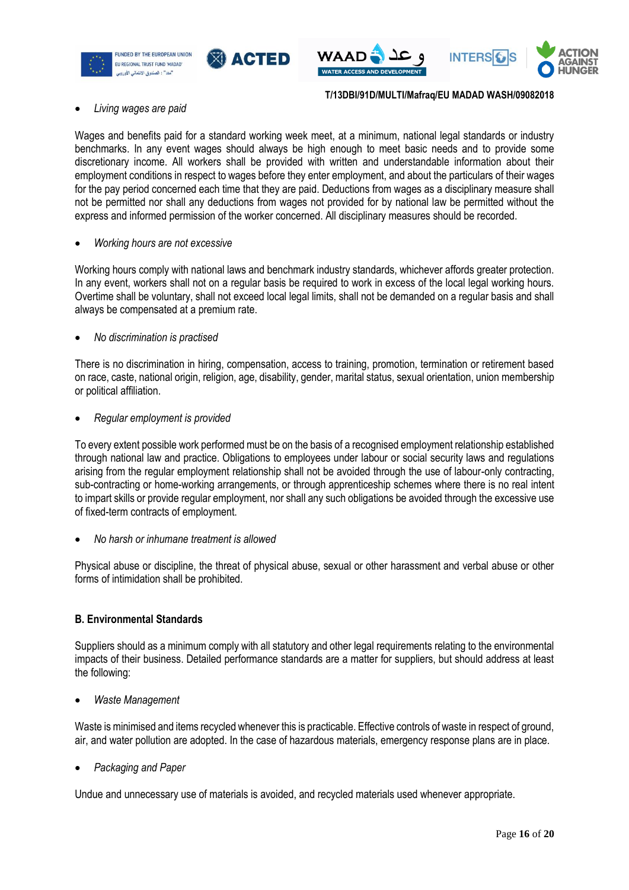







### *Living wages are paid*

Wages and benefits paid for a standard working week meet, at a minimum, national legal standards or industry benchmarks. In any event wages should always be high enough to meet basic needs and to provide some discretionary income. All workers shall be provided with written and understandable information about their employment conditions in respect to wages before they enter employment, and about the particulars of their wages for the pay period concerned each time that they are paid. Deductions from wages as a disciplinary measure shall not be permitted nor shall any deductions from wages not provided for by national law be permitted without the express and informed permission of the worker concerned. All disciplinary measures should be recorded.

### *Working hours are not excessive*

Working hours comply with national laws and benchmark industry standards, whichever affords greater protection. In any event, workers shall not on a regular basis be required to work in excess of the local legal working hours. Overtime shall be voluntary, shall not exceed local legal limits, shall not be demanded on a regular basis and shall always be compensated at a premium rate.

### *No discrimination is practised*

There is no discrimination in hiring, compensation, access to training, promotion, termination or retirement based on race, caste, national origin, religion, age, disability, gender, marital status, sexual orientation, union membership or political affiliation.

### *Regular employment is provided*

To every extent possible work performed must be on the basis of a recognised employment relationship established through national law and practice. Obligations to employees under labour or social security laws and regulations arising from the regular employment relationship shall not be avoided through the use of labour-only contracting, sub-contracting or home-working arrangements, or through apprenticeship schemes where there is no real intent to impart skills or provide regular employment, nor shall any such obligations be avoided through the excessive use of fixed-term contracts of employment.

*No harsh or inhumane treatment is allowed*

Physical abuse or discipline, the threat of physical abuse, sexual or other harassment and verbal abuse or other forms of intimidation shall be prohibited.

### **B. Environmental Standards**

Suppliers should as a minimum comply with all statutory and other legal requirements relating to the environmental impacts of their business. Detailed performance standards are a matter for suppliers, but should address at least the following:

*Waste Management*

Waste is minimised and items recycled whenever this is practicable. Effective controls of waste in respect of ground, air, and water pollution are adopted. In the case of hazardous materials, emergency response plans are in place.

*Packaging and Paper*

Undue and unnecessary use of materials is avoided, and recycled materials used whenever appropriate.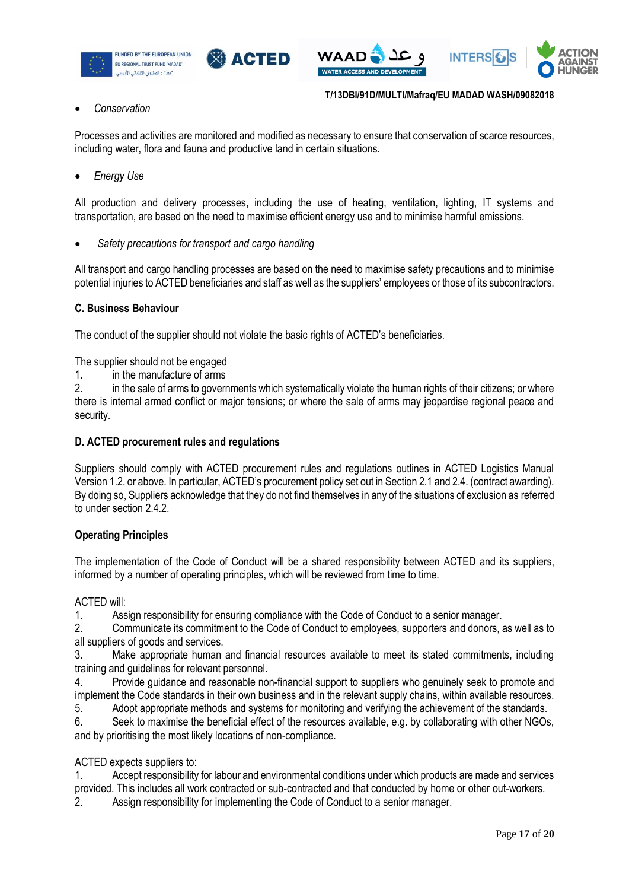







### *Conservation*

**T/13DBI/91D/MULTI/Mafraq/EU MADAD WASH/09082018**

Processes and activities are monitored and modified as necessary to ensure that conservation of scarce resources, including water, flora and fauna and productive land in certain situations.

*Energy Use* 

All production and delivery processes, including the use of heating, ventilation, lighting, IT systems and transportation, are based on the need to maximise efficient energy use and to minimise harmful emissions.

*Safety precautions for transport and cargo handling*

All transport and cargo handling processes are based on the need to maximise safety precautions and to minimise potential injuries to ACTED beneficiaries and staff as well as the suppliers' employees or those of its subcontractors.

### **C. Business Behaviour**

The conduct of the supplier should not violate the basic rights of ACTED's beneficiaries.

The supplier should not be engaged

1. in the manufacture of arms

2. in the sale of arms to governments which systematically violate the human rights of their citizens; or where there is internal armed conflict or major tensions; or where the sale of arms may jeopardise regional peace and security.

### **D. ACTED procurement rules and regulations**

Suppliers should comply with ACTED procurement rules and regulations outlines in ACTED Logistics Manual Version 1.2. or above. In particular, ACTED's procurement policy set out in Section 2.1 and 2.4. (contract awarding). By doing so, Suppliers acknowledge that they do not find themselves in any of the situations of exclusion as referred to under section 2.4.2.

### **Operating Principles**

The implementation of the Code of Conduct will be a shared responsibility between ACTED and its suppliers, informed by a number of operating principles, which will be reviewed from time to time.

ACTED will:

1. Assign responsibility for ensuring compliance with the Code of Conduct to a senior manager.

2. Communicate its commitment to the Code of Conduct to employees, supporters and donors, as well as to all suppliers of goods and services.

3. Make appropriate human and financial resources available to meet its stated commitments, including training and guidelines for relevant personnel.

4. Provide guidance and reasonable non-financial support to suppliers who genuinely seek to promote and implement the Code standards in their own business and in the relevant supply chains, within available resources.

5. Adopt appropriate methods and systems for monitoring and verifying the achievement of the standards.

6. Seek to maximise the beneficial effect of the resources available, e.g. by collaborating with other NGOs, and by prioritising the most likely locations of non-compliance.

### ACTED expects suppliers to:

1. Accept responsibility for labour and environmental conditions under which products are made and services provided. This includes all work contracted or sub-contracted and that conducted by home or other out-workers.

2. Assign responsibility for implementing the Code of Conduct to a senior manager.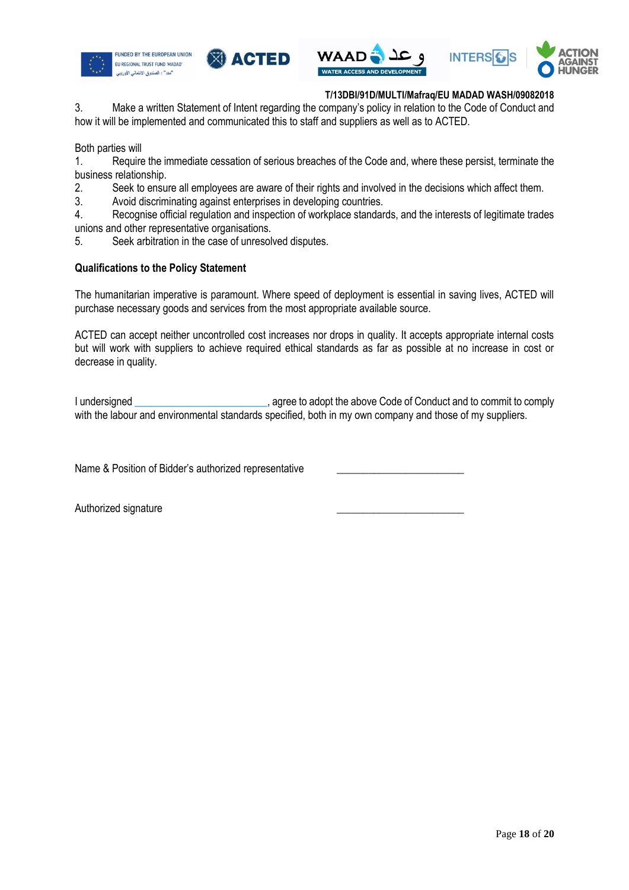







3. Make a written Statement of Intent regarding the company's policy in relation to the Code of Conduct and how it will be implemented and communicated this to staff and suppliers as well as to ACTED.

Both parties will

1. Require the immediate cessation of serious breaches of the Code and, where these persist, terminate the business relationship.

2. Seek to ensure all employees are aware of their rights and involved in the decisions which affect them.

3. Avoid discriminating against enterprises in developing countries.

4. Recognise official regulation and inspection of workplace standards, and the interests of legitimate trades unions and other representative organisations.

5. Seek arbitration in the case of unresolved disputes.

### **Qualifications to the Policy Statement**

The humanitarian imperative is paramount. Where speed of deployment is essential in saving lives, ACTED will purchase necessary goods and services from the most appropriate available source.

ACTED can accept neither uncontrolled cost increases nor drops in quality. It accepts appropriate internal costs but will work with suppliers to achieve required ethical standards as far as possible at no increase in cost or decrease in quality.

I undersigned \_\_\_\_\_\_\_\_\_\_\_\_\_\_\_\_\_\_\_\_\_\_\_\_\_, agree to adopt the above Code of Conduct and to commit to comply with the labour and environmental standards specified, both in my own company and those of my suppliers.

Name & Position of Bidder's authorized representative

Authorized signature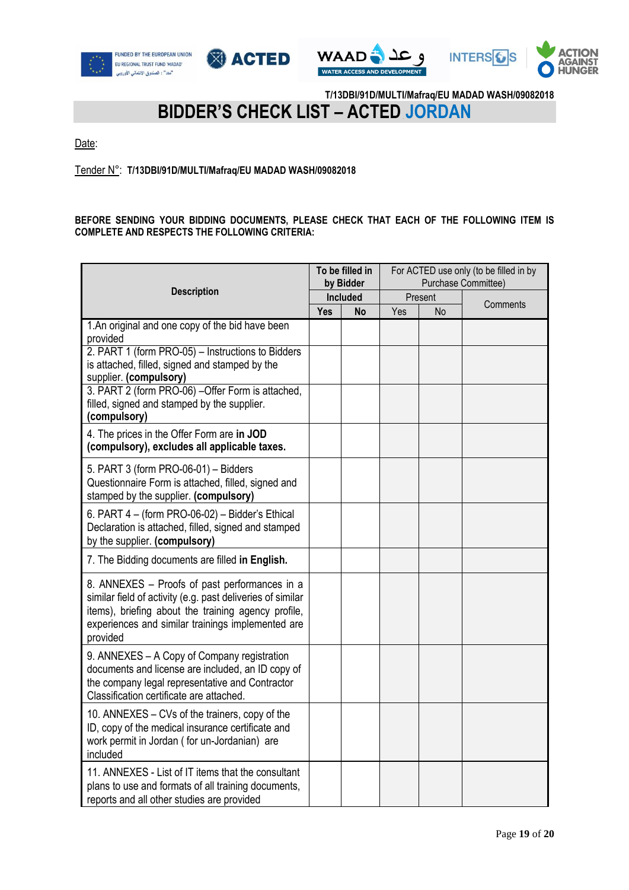







### **BIDDER'S CHECK LIST – ACTED JORDAN**

Date:

Tender N°: **T/13DBI/91D/MULTI/Mafraq/EU MADAD WASH/09082018**

### **BEFORE SENDING YOUR BIDDING DOCUMENTS, PLEASE CHECK THAT EACH OF THE FOLLOWING ITEM IS COMPLETE AND RESPECTS THE FOLLOWING CRITERIA:**

|                                                                                                                                                                                                                                     |            | To be filled in<br>by Bidder |         | For ACTED use only (to be filled in by<br>Purchase Committee) |          |  |
|-------------------------------------------------------------------------------------------------------------------------------------------------------------------------------------------------------------------------------------|------------|------------------------------|---------|---------------------------------------------------------------|----------|--|
| <b>Description</b>                                                                                                                                                                                                                  | Included   |                              | Present |                                                               | Comments |  |
| 1.An original and one copy of the bid have been<br>provided                                                                                                                                                                         | <b>Yes</b> | No                           | Yes     | No                                                            |          |  |
| 2. PART 1 (form PRO-05) - Instructions to Bidders<br>is attached, filled, signed and stamped by the<br>supplier. (compulsory)                                                                                                       |            |                              |         |                                                               |          |  |
| 3. PART 2 (form PRO-06) - Offer Form is attached,<br>filled, signed and stamped by the supplier.<br>(compulsory)                                                                                                                    |            |                              |         |                                                               |          |  |
| 4. The prices in the Offer Form are in JOD<br>(compulsory), excludes all applicable taxes.                                                                                                                                          |            |                              |         |                                                               |          |  |
| 5. PART 3 (form PRO-06-01) - Bidders<br>Questionnaire Form is attached, filled, signed and<br>stamped by the supplier. (compulsory)                                                                                                 |            |                              |         |                                                               |          |  |
| 6. PART 4 - (form PRO-06-02) - Bidder's Ethical<br>Declaration is attached, filled, signed and stamped<br>by the supplier. (compulsory)                                                                                             |            |                              |         |                                                               |          |  |
| 7. The Bidding documents are filled in English.                                                                                                                                                                                     |            |                              |         |                                                               |          |  |
| 8. ANNEXES - Proofs of past performances in a<br>similar field of activity (e.g. past deliveries of similar<br>items), briefing about the training agency profile,<br>experiences and similar trainings implemented are<br>provided |            |                              |         |                                                               |          |  |
| 9. ANNEXES - A Copy of Company registration<br>documents and license are included, an ID copy of<br>the company legal representative and Contractor<br>Classification certificate are attached.                                     |            |                              |         |                                                               |          |  |
| 10. ANNEXES - CVs of the trainers, copy of the<br>ID, copy of the medical insurance certificate and<br>work permit in Jordan (for un-Jordanian) are<br>included                                                                     |            |                              |         |                                                               |          |  |
| 11. ANNEXES - List of IT items that the consultant<br>plans to use and formats of all training documents,<br>reports and all other studies are provided                                                                             |            |                              |         |                                                               |          |  |